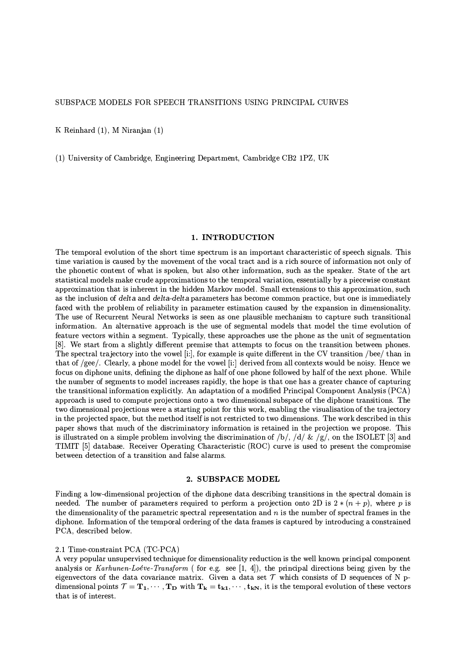K Reinhard (1), M Niranjan (1)

(1) University of Cambridge, Engineering Department, Cambridge CB2 1PZ, UK

#### 1. INTRODUCTION

The temporal evolution of the short time spectrum is an important characteristic of speech signals. This time variation is caused by the movement of the vocal tract and is a rich source of information not only of the phonetic content of what is spoken, but also other information, such as the speaker. State of the art statistical models make crude approximations to the temporal variation, essentially by a piecewise constant approximation that is inherent in the hidden Markov model. Small extensions to this approximation, such as the inclusion of delta and delta-delta parameters has become common practice, but one is immediately faced with the problem of reliability in parameter estimation caused by the expansion in dimensionality. The use of Recurrent Neural Networks is seen as one plausible mechanism to capture such transitional information. An alternative approach is the use of segmental models that model the time evolution of feature vectors within a segment. Typically, these approaches use the phone as the unit of segmentation [8]. We start from a slightly different premise that attempts to focus on the transition between phones. The spectral trajectory into the yowel [i:], for example is quite different in the CV transition /bee/ than in that of /gee/. Clearly, a phone model for the vowel [i:] derived from all contexts would be noisy. Hence we focus on diphone units, defining the diphone as half of one phone followed by half of the next phone. While the number of segments to model increases rapidly, the hope is that one has a greater chance of capturing the transitional information explicitly. An adaptation of a modified Principal Component Analysis (PCA) approach is used to compute projections onto a two dimensional subspace of the diphone transitions. The two dimensional projections were a starting point for this work, enabling the visualisation of the trajectory in the projected space, but the method itself is not restricted to two dimensions. The work described in this paper shows that much of the discriminatory information is retained in the projection we propose. This is illustrated on a simple problem involving the discrimination of /b/, /d/ & /g/, on the ISOLET [3] and TIMIT [5] database. Receiver Operating Characteristic (ROC) curve is used to present the compromise between detection of a transition and false alarms.

#### 2. SUBSPACE MODEL

Finding a low-dimensional projection of the diphone data describing transitions in the spectral domain is needed. The number of parameters required to perform a projection onto 2D is  $2*(n+p)$ , where p is the dimensionality of the parametric spectral representation and  $n$  is the number of spectral frames in the diphone. Information of the temporal ordering of the data frames is captured by introducing a constrained PCA, described below.

#### 2.1 Time-constraint PCA (TC-PCA)

A very popular unsupervised technique for dimensionality reduction is the well known principal component analysis or Karhunen-Loéve-Transform (for e.g. see [1, 4]), the principal directions being given by the eigenvectors of the data covariance matrix. Given a data set  $\mathcal T$  which consists of D sequences of N pdimensional points  $\mathcal{T} = \mathbf{T_1}, \cdots, \mathbf{T_D}$  with  $\mathbf{T_k} = \mathbf{t_{k1}}, \cdots, \mathbf{t_{kN}}$ , it is the temporal evolution of these vectors that is of interest.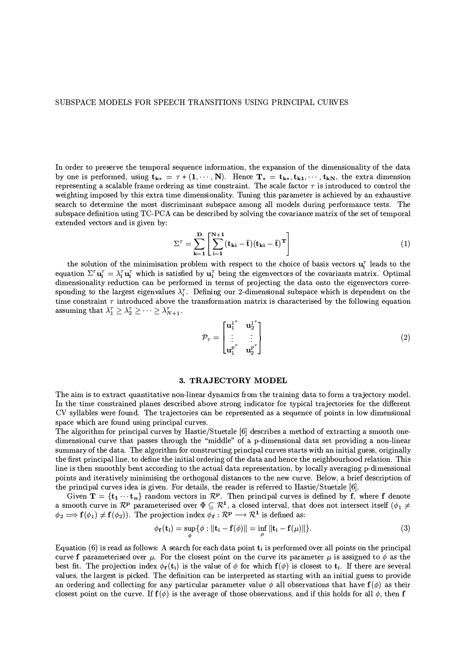In order to preserve the temporal sequence information, the expansion of the dimensionality of the data by one is performed, using  $t_{k*} = \tau * (1, \dots, N)$ . Hence  $T_* = t_{k*}, t_{k1}, \dots, t_{kN}$ , the extra dimension representing a scalable frame ordering as time constraint. The scale factor  $\tau$  is introduced to control the weighting imposed by this extra time dimensionality. Tuning this parameter is achieved by an exhaustive search to determine the most discriminant subspace among all models during performance tests. The subspace definition using TC-PCA can be described by solving the covariance matrix of the set of temporal extended vectors and is given by:

$$
\Sigma^{\tau} = \sum_{\mathbf{k}=1}^{\mathbf{D}} \left[ \sum_{i=1}^{N+1} (\mathbf{t}_{\mathbf{k}i} - \overline{\mathbf{t}}) (\mathbf{t}_{\mathbf{k}i} - \overline{\mathbf{t}})^{\mathbf{T}} \right]
$$
(1)

the solution of the minimisation problem with respect to the choice of basis vectors  $\mathbf{u}_i^T$  leads to the equation  $\Sigma^{\tau} \mathbf{u}_i^{\tau} = \lambda_i^{\tau} \mathbf{u}_i^{\tau}$  which is satisfied by  $\mathbf{u}_i^{\tau}$  being the eigenvectors of the covariants matrix. Optimal dimensionality reduction can be performed in terms of projecting the data onto the eigenvectors corresponding to the largest eigenvalues  $\lambda_i^{\tau}$ . Defining our 2-dimensional subspace which is dependent on the time constraint  $\tau$  introduced above the transformation matrix is characterised by the following equation assuming that  $\lambda_1^{\tau} \geq \lambda_2^{\tau} \geq \cdots \geq \lambda_{N+1}^{\tau}$ .

$$
\mathcal{P}_{\tau} = \begin{bmatrix} \mathbf{u}_1^{1^{\tau}} & \mathbf{u}_2^{1^{\tau}} \\ \vdots & \vdots \\ \mathbf{u}_1^{p^{\tau}} & \mathbf{u}_2^{p^{\tau}} \end{bmatrix} \tag{2}
$$

#### 3. TRAJECTORY MODEL

The aim is to extract quantitative non-linear dynamics from the training data to form a trajectory model. In the time constrained planes described above strong indicator for typical trajectories for the different CV syllables were found. The trajectories can be represented as a sequence of points in low dimensional space which are found using principal curves.

The algorithm for principal curves by Hastie/Stuetzle [6] describes a method of extracting a smooth onedimensional curve that passes through the "middle" of a p-dimensional data set providing a non-linear summary of the data. The algorithm for constructing principal curves starts with an initial guess, originally the first principal line, to define the initial ordering of the data and hence the neighbourhood relation. This line is then smoothly bent according to the actual data representation, by locally averaging p-dimensional points and iteratively minimising the orthogonal distances to the new curve. Below, a brief description of the principal curves idea is given. For details, the reader is referred to Hastie/Stuetzle [6].

Given  $\mathbf{T} = {\mathbf{t}_1 \cdots \mathbf{t}_n}$  random vectors in  $\mathcal{R}^{\mathbf{p}}$ . Then principal curves is defined by f, where f denote a smooth curve in  $\mathcal{R}^{\mathbf{p}}$  parameterised over  $\Phi \subseteq \mathcal{R}^1$ , a closed interval, that does not intersect itself  $(\phi_1 \neq \phi_2)$  $\phi_2 \Longrightarrow \mathbf{f}(\phi_1) \neq \mathbf{f}(\phi_2)$ ). The projection index  $\phi_{\mathbf{f}} : \mathcal{R}^{\mathbf{p}} \longrightarrow \mathcal{R}^{\mathbf{1}}$  is defined as:

$$
\phi_{\mathbf{f}}(\mathbf{t}_{\mathbf{i}}) = \sup_{\phi} \{ \phi : \|\mathbf{t}_{\mathbf{i}} - \mathbf{f}(\phi)\| = \inf_{\mu} \|\mathbf{t}_{\mathbf{i}} - \mathbf{f}(\mu)\| \}.
$$
 (3)

Equation (6) is read as follows: A search for each data point  $t_i$  is performed over all points on the principal curve f parameterised over  $\mu$ . For the closest point on the curve its parameter  $\mu$  is assigned to  $\phi$  as the best fit. The projection index  $\phi_f(t_i)$  is the value of  $\phi$  for which  $f(\phi)$  is closest to  $t_i$ . If there are several values, the largest is picked. The definition can be interpreted as starting with an initial guess to provide an ordering and collecting for any particular parameter value  $\phi$  all observations that have  $f(\phi)$  as their closest point on the curve. If  $f(\phi)$  is the average of those observations, and if this holds for all  $\phi$ , then f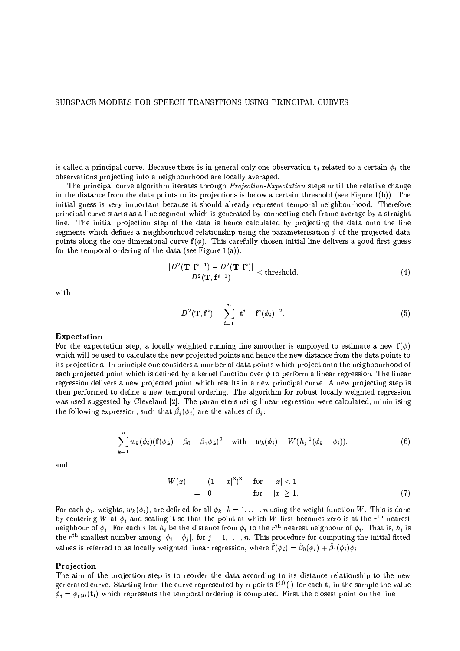is called a principal curve. Because there is in general only one observation  $t_i$  related to a certain  $\phi_i$  the observations projecting into a neighbourhood are locally averaged.

The principal curve algorithm iterates through *Projection-Expectation* steps until the relative change in the distance from the data points to its projections is below a certain threshold (see Figure  $1(b)$ ). The initial guess is very important because it should already represent temporal neighbourhood. Therefore principal curve starts as a line segment which is generated by connecting each frame average by a straight line. The initial projection step of the data is hence calculated by projecting the data onto the line segments which defines a neighbourhood relationship using the parameterisation  $\phi$  of the projected data points along the one-dimensional curve  $f(\phi)$ . This carefully chosen initial line delivers a good first guess for the temporal ordering of the data (see Figure 1(a)).

$$
\frac{|D^2(\mathbf{T}, \mathbf{f}^{i-1}) - D^2(\mathbf{T}, \mathbf{f}^i)|}{D^2(\mathbf{T}, \mathbf{f}^{i-1})} < \text{threshold.} \tag{4}
$$

with

$$
D^{2}(\mathbf{T}, \mathbf{f}^{i}) = \sum_{i=1}^{n} ||\mathbf{t}^{i} - \mathbf{f}^{i}(\phi_{i})||^{2}.
$$
 (5)

#### Expectation

For the expectation step, a locally weighted running line smoother is employed to estimate a new  $f(\phi)$ which will be used to calculate the new projected points and hence the new distance from the data points to its projections. In principle one considers a number of data points which project onto the neighbourhood of each projected point which is defined by a kernel function over  $\phi$  to perform a linear regression. The linear regression delivers a new projected point which results in a new principal curve. A new projecting step is then performed to define a new temporal ordering. The algorithm for robust locally weighted regression was used suggested by Cleveland [2]. The parameters using linear regression were calculated, minimising the following expression, such that  $\hat{\beta}_i(\phi_i)$  are the values of  $\beta_i$ :

$$
\sum_{k=1}^{n} w_k(\phi_i) (\mathbf{f}(\phi_k) - \beta_0 - \beta_1 \phi_k)^2 \quad \text{with} \quad w_k(\phi_i) = W(h_i^{-1}(\phi_k - \phi_i)). \tag{6}
$$

and

$$
W(x) = (1 - |x|^3)^3 \quad \text{for} \quad |x| < 1
$$
  
= 0 \quad \text{for} \quad |x| \ge 1. \tag{7}

For each  $\phi_i$ , weights,  $w_k(\phi_i)$ , are defined for all  $\phi_k$ ,  $k = 1, \ldots, n$  using the weight function W. This is done by centering W at  $\phi_i$  and scaling it so that the point at which W first becomes zero is at the  $r^{th}$  nearest neighbour of  $\phi_i$ . For each i let  $h_i$  be the distance from  $\phi_i$  to the  $r^{th}$  nearest neighbour of  $\phi_i$ . the r<sup>th</sup> smallest number among  $|\phi_i - \phi_j|$ , for  $j = 1, ..., n$ . This procedure for computing the initial fitted values is referred to as locally weighted linear regression, where  $\hat{\mathbf{f}}(\phi_i) = \hat{\beta}_0(\phi_i) + \hat{\beta}_1(\phi_i)\phi_i$ .

#### Projection

The aim of the projection step is to reorder the data according to its distance relationship to the new generated curve. Starting from the curve represented by n points  $f^{(j)}(\cdot)$  for each  $t_i$  in the sample the value  $\phi_i = \phi_{f^{(j)}}(t_i)$  which represents the temporal ordering is computed. First the closest point on the line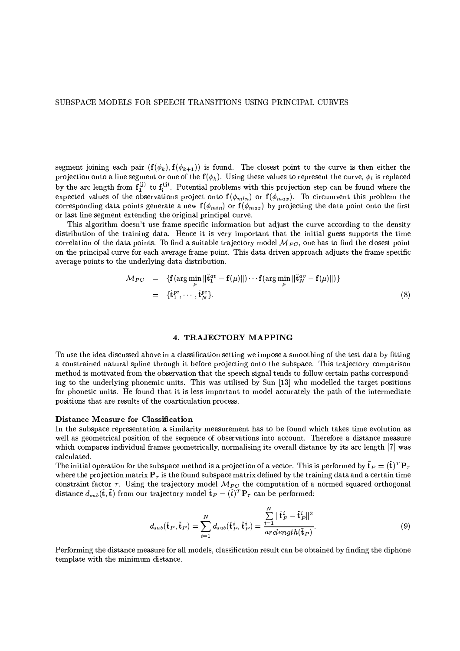segment joining each pair  $(f(\phi_k), f(\phi_{k+1}))$  is found. The closest point to the curve is then either the projection onto a line segment or one of the  $f(\phi_k)$ . Using these values to represent the curve,  $\phi_i$  is replaced by the arc length from  $f_1^{(j)}$  to  $f_i^{(j)}$ . Potential problems with this projection step can be found where the expected values of the observations project onto  $f(\phi_{min})$  or  $f(\phi_{max})$ . To circumvent this problem the corresponding data points generate a new  $f(\phi_{min})$  or  $f(\phi_{max})$  by projecting the data point onto the first or last line segment extending the original principal curve.

This algorithm doesn't use frame specific information but adjust the curve according to the density distribution of the training data. Hence it is very important that the initial guess supports the time correlation of the data points. To find a suitable trajectory model  $\mathcal{M}_{PC}$ , one has to find the closest point on the principal curve for each average frame point. This data driven approach adjusts the frame specific average points to the underlying data distribution.

$$
\mathcal{M}_{PC} = \{ \mathbf{f}(\arg\min_{\mu} \|\hat{\mathbf{t}}_1^{av} - \mathbf{f}(\mu)\|) \cdots \mathbf{f}(\arg\min_{\mu} \|\hat{\mathbf{t}}_N^{av} - \mathbf{f}(\mu)\|) \}
$$
  
=  $\{\hat{\mathbf{t}}_1^{pc}, \cdots, \hat{\mathbf{t}}_N^{pc}\}. \tag{8}$ 

### 4. TRAJECTORY MAPPING

To use the idea discussed above in a classification setting we impose a smoothing of the test data by fitting a constrained natural spline through it before projecting onto the subspace. This trajectory comparison method is motivated from the observation that the speech signal tends to follow certain paths corresponding to the underlying phonemic units. This was utilised by Sun [13] who modelled the target positions for phonetic units. He found that it is less important to model accurately the path of the intermediate positions that are results of the coarticulation process.

# Distance Measure for Classification

In the subspace representation a similarity measurement has to be found which takes time evolution as well as geometrical position of the sequence of observations into account. Therefore a distance measure which compares individual frames geometrically, normalising its overall distance by its arc length [7] was calculated.

The initial operation for the subspace method is a projection of a vector. This is performed by  $\tilde{\mathbf{t}}_P = (\tilde{\mathbf{t}})^T \mathbf{P}_{\tau}$ where the projection matrix  $P<sub>\tau</sub>$  is the found subspace matrix defined by the training data and a certain time constraint factor  $\tau$ . Using the trajectory model  $\mathcal{M}_{PC}$  the computation of a normed squared orthogonal distance  $d_{sub}(\hat{\mathbf{t}}, \tilde{\mathbf{t}})$  from our trajectory model  $\hat{\mathbf{t}}_P = (\hat{t})^T \mathbf{P}_{\tau}$  can be performed:

$$
d_{sub}(\hat{\mathbf{t}}_P, \tilde{\mathbf{t}}_P) = \sum_{i=1}^N d_{sub}(\hat{\mathbf{t}}_P^i, \tilde{\mathbf{t}}_P^i) = \frac{\sum_{i=1}^N ||\hat{\mathbf{t}}_P^i - \tilde{\mathbf{t}}_P^i||^2}{\operatorname{arclength}(\tilde{\mathbf{t}}_P)}.
$$
(9)

Performing the distance measure for all models, classification result can be obtained by finding the diphone template with the minimum distance.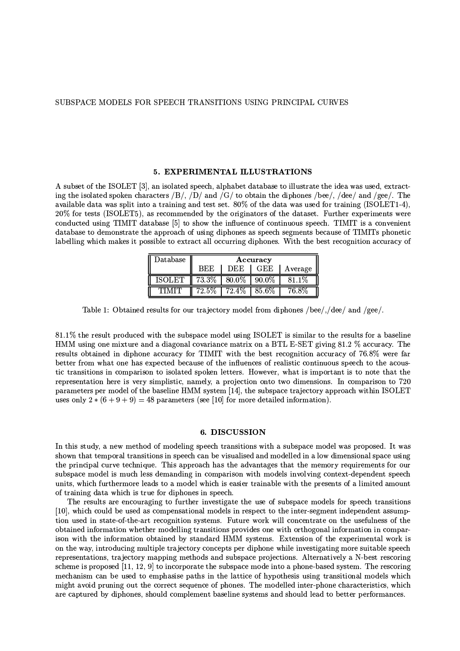#### 5. EXPERIMENTAL ILLUSTRATIONS

A subset of the ISOLET [3], an isolated speech, alphabet database to illustrate the idea was used, extracting the isolated spoken characters /B/, /D/ and /G/ to obtain the diphones /bee/, /dee/ and /gee/. The available data was split into a training and test set.  $80\%$  of the data was used for training (ISOLET1-4), 20% for tests (ISOLET5), as recommended by the originators of the dataset. Further experiments were conducted using TIMIT database [5] to show the influence of continuous speech. TIMIT is a convenient database to demonstrate the approach of using diphones as speech segments because of TIMITs phonetic labelling which makes it possible to extract all occurring diphones. With the best recognition accuracy of

| $\rm Data base$ | Accuracy   |       |          |         |
|-----------------|------------|-------|----------|---------|
|                 | <b>BEE</b> | DEE   | GEE      | Average |
| <b>ISOLET</b>   | 73.3%      | 80.0% | $90.0\%$ | 81 1%   |
|                 | $72.5\%$   | 72.4% | 85.6%    |         |

Table 1: Obtained results for our trajectory model from diphones /bee/,/dee/ and /gee/.

81.1% the result produced with the subspace model using ISOLET is similar to the results for a baseline HMM using one mixture and a diagonal covariance matrix on a BTL E-SET giving 81.2 % accuracy. The results obtained in diphone accuracy for TIMIT with the best recognition accuracy of 76.8% were far better from what one has expected because of the influences of realistic continuous speech to the acoustic transitions in comparison to isolated spoken letters. However, what is important is to note that the representation here is very simplistic, namely, a projection onto two dimensions. In comparison to 720 parameters per model of the baseline HMM system [14], the subspace trajectory approach within ISOLET uses only  $2 * (6 + 9 + 9) = 48$  parameters (see [10] for more detailed information).

# 6. DISCUSSION

In this study, a new method of modeling speech transitions with a subspace model was proposed. It was shown that temporal transitions in speech can be visualised and modelled in a low dimensional space using the principal curve technique. This approach has the advantages that the memory requirements for our subspace model is much less demanding in comparison with models involving context-dependent speech units, which furthermore leads to a model which is easier trainable with the presents of a limited amount of training data which is true for diphones in speech.

The results are encouraging to further investigate the use of subspace models for speech transitions [10], which could be used as compensational models in respect to the inter-segment independent assumption used in state-of-the-art recognition systems. Future work will concentrate on the usefulness of the obtained information whether modelling transitions provides one with orthogonal information in comparison with the information obtained by standard HMM systems. Extension of the experimental work is on the way, introducing multiple trajectory concepts per diphone while investigating more suitable speech representations, trajectory mapping methods and subspace projections. Alternatively a N-best rescoring scheme is proposed [11, 12, 9] to incorporate the subspace mode into a phone-based system. The rescoring mechanism can be used to emphasise paths in the lattice of hypothesis using transitional models which might avoid pruning out the correct sequence of phones. The modelled inter-phone characteristics, which are captured by diphones, should complement baseline systems and should lead to better performances.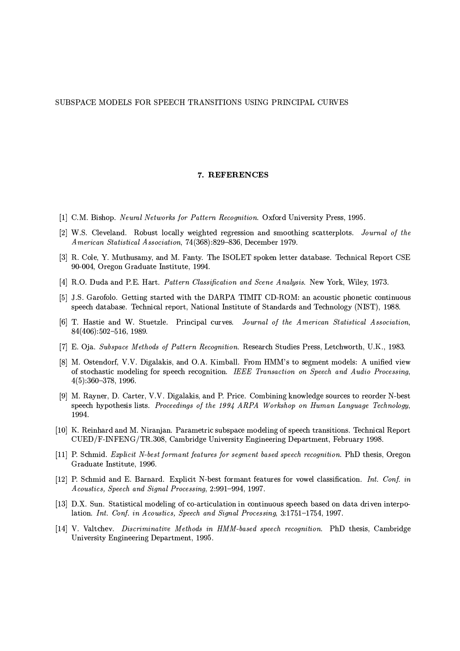#### 7. REFERENCES

- [1] C.M. Bishop. Neural Networks for Pattern Recognition. Oxford University Press, 1995.
- [2] W.S. Cleveland. Robust locally weighted regression and smoothing scatterplots. Journal of the American Statistical Association, 74(368):829-836, December 1979.
- [3] R. Cole, Y. Muthusamy, and M. Fanty. The ISOLET spoken letter database. Technical Report CSE 90-004, Oregon Graduate Institute, 1994.
- [4] R.O. Duda and P.E. Hart. Pattern Classification and Scene Analysis. New York, Wiley, 1973.
- [5] J.S. Garofolo. Getting started with the DARPA TIMIT CD-ROM: an acoustic phonetic continuous speech database. Technical report, National Institute of Standards and Technology (NIST), 1988.
- [6] T. Hastie and W. Stuetzle. Principal curves. Journal of the American Statistical Association,  $84(406):502-516, 1989.$
- [7] E. Oja. Subspace Methods of Pattern Recognition. Research Studies Press, Letchworth, U.K., 1983.
- [8] M. Ostendorf, V.V. Digalakis, and O.A. Kimball. From HMM's to segment models: A unified view of stochastic modeling for speech recognition. IEEE Transaction on Speech and Audio Processing,  $4(5):360-378, 1996.$
- [9] M. Rayner, D. Carter, V.V. Digalakis, and P. Price. Combining knowledge sources to reorder N-best speech hypothesis lists. Proceedings of the 1994 ARPA Workshop on Human Language Technology, 1994.
- [10] K. Reinhard and M. Niranjan. Parametric subspace modeling of speech transitions. Technical Report CUED/F-INFENG/TR.308, Cambridge University Engineering Department, February 1998.
- [11] P. Schmid. Explicit N-best formant features for segment based speech recognition. PhD thesis, Oregon Graduate Institute, 1996
- [12] P. Schmid and E. Barnard. Explicit N-best formant features for vowel classification. Int. Conf. in Acoustics, Speech and Signal Processing, 2:991-994, 1997.
- [13] D.X. Sun. Statistical modeling of co-articulation in continuous speech based on data driven interpolation. Int. Conf. in Acoustics, Speech and Signal Processing, 3:1751-1754, 1997.
- [14] V. Valtchev. Discriminative Methods in HMM-based speech recognition. PhD thesis, Cambridge University Engineering Department, 1995.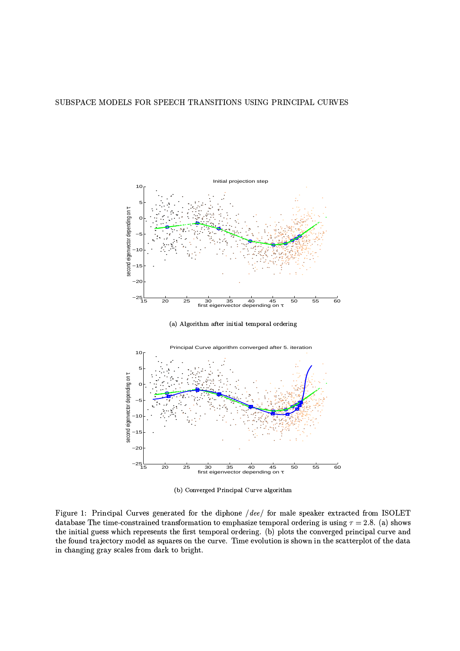

(a) Algorithm after initial temporal ordering



(b) Converged Principal Curve algorithm

Figure 1: Principal Curves generated for the diphone /dee/ for male speaker extracted from ISOLET database The time-constrained transformation to emphasize temporal ordering is using  $\tau = 2.8$ . (a) shows the initial guess which represents the first temporal ordering. (b) plots the converged principal curve and the found trajectory model as squares on the curve. Time evolution is shown in the scatterplot of the data in changing gray scales from dark to bright.